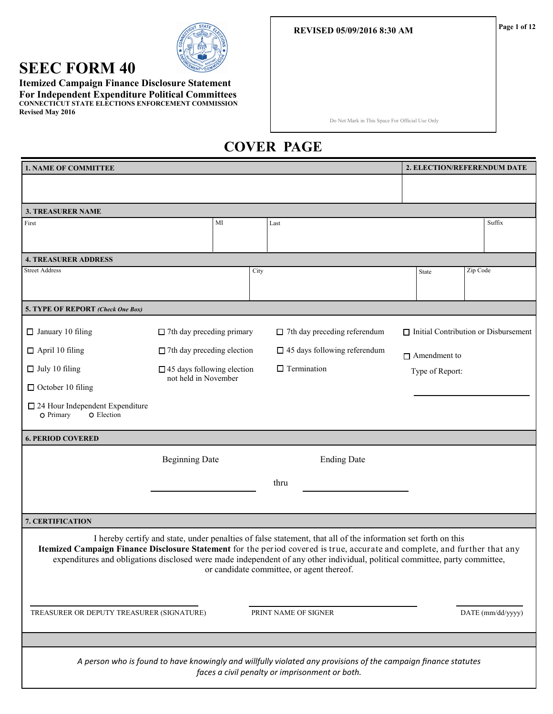#### **REVISED 05/09/2016 8:30 AM**

# **SEEC FORM 40**

**Itemized Campaign Finance Disclosure Statement For Independent Expenditure Political Committees CONNECTICUT STATE ELECTIONS ENFORCEMENT COMMISSION Revised May 2016**

Do Not Mark in This Space For Official Use Only

# **COVER PAGE**

| <b>1. NAME OF COMMITTEE</b>                                                                                                                                                                                                                                                                                                                                                                                             |                                                           |      |                                                                                                                                                                  |                     |                 | <b>2. ELECTION/REFERENDUM DATE</b>          |  |  |
|-------------------------------------------------------------------------------------------------------------------------------------------------------------------------------------------------------------------------------------------------------------------------------------------------------------------------------------------------------------------------------------------------------------------------|-----------------------------------------------------------|------|------------------------------------------------------------------------------------------------------------------------------------------------------------------|---------------------|-----------------|---------------------------------------------|--|--|
|                                                                                                                                                                                                                                                                                                                                                                                                                         |                                                           |      |                                                                                                                                                                  |                     |                 |                                             |  |  |
| <b>3. TREASURER NAME</b>                                                                                                                                                                                                                                                                                                                                                                                                |                                                           |      |                                                                                                                                                                  |                     |                 |                                             |  |  |
| First                                                                                                                                                                                                                                                                                                                                                                                                                   | MI                                                        | Last |                                                                                                                                                                  |                     |                 | Suffix                                      |  |  |
| <b>4. TREASURER ADDRESS</b>                                                                                                                                                                                                                                                                                                                                                                                             |                                                           |      |                                                                                                                                                                  |                     |                 |                                             |  |  |
| <b>Street Address</b>                                                                                                                                                                                                                                                                                                                                                                                                   |                                                           | City |                                                                                                                                                                  | State               |                 | Zip Code                                    |  |  |
| 5. TYPE OF REPORT (Check One Box)                                                                                                                                                                                                                                                                                                                                                                                       |                                                           |      |                                                                                                                                                                  |                     |                 |                                             |  |  |
| $\Box$ January 10 filing                                                                                                                                                                                                                                                                                                                                                                                                | $\Box$ 7th day preceding primary                          |      | $\Box$ 7th day preceding referendum                                                                                                                              |                     |                 | $\Box$ Initial Contribution or Disbursement |  |  |
| $\Box$ April 10 filing                                                                                                                                                                                                                                                                                                                                                                                                  | $\Box$ 7th day preceding election                         |      | $\Box$ 45 days following referendum                                                                                                                              | $\Box$ Amendment to |                 |                                             |  |  |
| $\Box$ July 10 filing                                                                                                                                                                                                                                                                                                                                                                                                   | $\Box$ 45 days following election<br>not held in November |      | $\Box$ Termination                                                                                                                                               |                     | Type of Report: |                                             |  |  |
| $\Box$ October 10 filing                                                                                                                                                                                                                                                                                                                                                                                                |                                                           |      |                                                                                                                                                                  |                     |                 |                                             |  |  |
| $\Box$ 24 Hour Independent Expenditure<br>O Election<br>O Primary                                                                                                                                                                                                                                                                                                                                                       |                                                           |      |                                                                                                                                                                  |                     |                 |                                             |  |  |
| <b>6. PERIOD COVERED</b>                                                                                                                                                                                                                                                                                                                                                                                                |                                                           |      |                                                                                                                                                                  |                     |                 |                                             |  |  |
|                                                                                                                                                                                                                                                                                                                                                                                                                         | <b>Beginning Date</b>                                     |      | <b>Ending Date</b>                                                                                                                                               |                     |                 |                                             |  |  |
|                                                                                                                                                                                                                                                                                                                                                                                                                         |                                                           |      | thru                                                                                                                                                             |                     |                 |                                             |  |  |
|                                                                                                                                                                                                                                                                                                                                                                                                                         |                                                           |      |                                                                                                                                                                  |                     |                 |                                             |  |  |
| 7. CERTIFICATION                                                                                                                                                                                                                                                                                                                                                                                                        |                                                           |      |                                                                                                                                                                  |                     |                 |                                             |  |  |
| I hereby certify and state, under penalties of false statement, that all of the information set forth on this<br>Itemized Campaign Finance Disclosure Statement for the period covered is true, accurate and complete, and further that any<br>expenditures and obligations disclosed were made independent of any other individual, political committee, party committee,<br>or candidate committee, or agent thereof. |                                                           |      |                                                                                                                                                                  |                     |                 |                                             |  |  |
| TREASURER OR DEPUTY TREASURER (SIGNATURE)                                                                                                                                                                                                                                                                                                                                                                               |                                                           |      | PRINT NAME OF SIGNER                                                                                                                                             |                     |                 | DATE (mm/dd/yyyy)                           |  |  |
|                                                                                                                                                                                                                                                                                                                                                                                                                         |                                                           |      |                                                                                                                                                                  |                     |                 |                                             |  |  |
|                                                                                                                                                                                                                                                                                                                                                                                                                         |                                                           |      | A person who is found to have knowingly and willfully violated any provisions of the campaign finance statutes<br>faces a civil penalty or imprisonment or both. |                     |                 |                                             |  |  |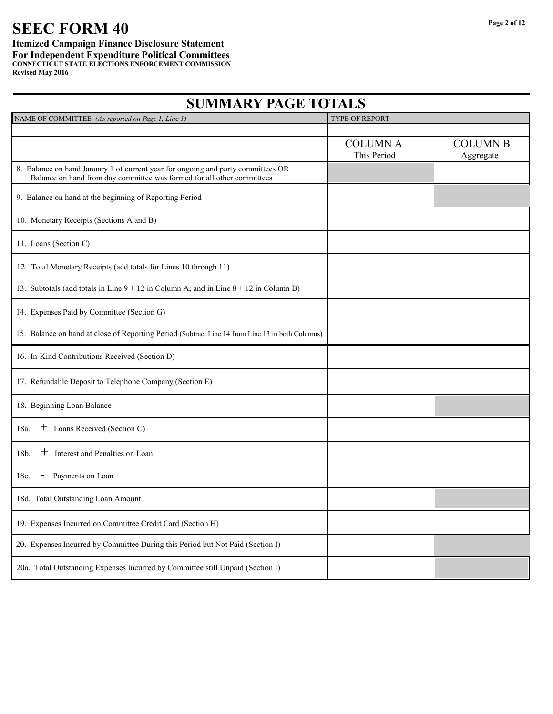# **SEEC FORM 40**

#### **Itemized Campaign Finance Disclosure Statement For Independent Expenditure Political Committees CONNECTICUT STATE ELECTIONS ENFORCEMENT COMMISSION Revised May 2016**

| NAME OF COMMITTEE (As reported on Page 1, Line 1)                                                                                                          | <b>TYPE OF REPORT</b>          |                              |
|------------------------------------------------------------------------------------------------------------------------------------------------------------|--------------------------------|------------------------------|
|                                                                                                                                                            |                                |                              |
|                                                                                                                                                            | <b>COLUMN A</b><br>This Period | <b>COLUMN B</b><br>Aggregate |
| 8. Balance on hand January 1 of current year for ongoing and party committees OR<br>Balance on hand from day committee was formed for all other committees |                                |                              |
| 9. Balance on hand at the beginning of Reporting Period                                                                                                    |                                |                              |
| 10. Monetary Receipts (Sections A and B)                                                                                                                   |                                |                              |
| 11. Loans (Section C)                                                                                                                                      |                                |                              |
| 12. Total Monetary Receipts (add totals for Lines 10 through 11)                                                                                           |                                |                              |
| 13. Subtotals (add totals in Line $9 + 12$ in Column A; and in Line $8 + 12$ in Column B)                                                                  |                                |                              |
| 14. Expenses Paid by Committee (Section G)                                                                                                                 |                                |                              |
| 15. Balance on hand at close of Reporting Period (Subtract Line 14 from Line 13 in both Columns)                                                           |                                |                              |
| 16. In-Kind Contributions Received (Section D)                                                                                                             |                                |                              |
| 17. Refundable Deposit to Telephone Company (Section E)                                                                                                    |                                |                              |
| 18. Beginning Loan Balance                                                                                                                                 |                                |                              |
| + Loans Received (Section C)<br>18a.                                                                                                                       |                                |                              |
| $+$ Interest and Penalties on Loan<br>18b.                                                                                                                 |                                |                              |
| Payments on Loan<br>18c.<br>-                                                                                                                              |                                |                              |
| 18d. Total Outstanding Loan Amount                                                                                                                         |                                |                              |
| 19. Expenses Incurred on Committee Credit Card (Section H)                                                                                                 |                                |                              |
| 20. Expenses Incurred by Committee During this Period but Not Paid (Section I)                                                                             |                                |                              |
| 20a. Total Outstanding Expenses Incurred by Committee still Unpaid (Section I)                                                                             |                                |                              |

# **SUMMARY PAGE TOTALS**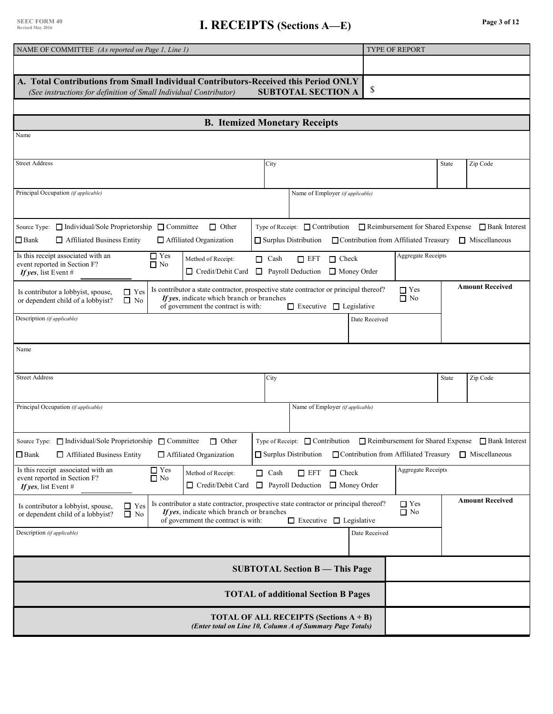# **I. RECEIPTS** (Sections A—E) **Page 3 of 12**

| NAME OF COMMITTEE (As reported on Page 1, Line 1)                                                                                                                                                                                                                                                                      | TYPE OF REPORT                                                                                                    |
|------------------------------------------------------------------------------------------------------------------------------------------------------------------------------------------------------------------------------------------------------------------------------------------------------------------------|-------------------------------------------------------------------------------------------------------------------|
|                                                                                                                                                                                                                                                                                                                        |                                                                                                                   |
| A. Total Contributions from Small Individual Contributors-Received this Period ONLY                                                                                                                                                                                                                                    |                                                                                                                   |
| <b>SUBTOTAL SECTION A</b><br>(See instructions for definition of Small Individual Contributor)                                                                                                                                                                                                                         | \$                                                                                                                |
|                                                                                                                                                                                                                                                                                                                        |                                                                                                                   |
| <b>B. Itemized Monetary Receipts</b>                                                                                                                                                                                                                                                                                   |                                                                                                                   |
| Name                                                                                                                                                                                                                                                                                                                   |                                                                                                                   |
| <b>Street Address</b><br>City                                                                                                                                                                                                                                                                                          | <b>State</b><br>Zip Code                                                                                          |
| Principal Occupation (if applicable)<br>Name of Employer (if applicable)                                                                                                                                                                                                                                               |                                                                                                                   |
| Source Type: □ Individual/Sole Proprietorship □ Committee<br>$\Box$ Other<br>Type of Receipt: $\Box$ Contribution                                                                                                                                                                                                      | $\Box$ Reimbursement for Shared Expense $\Box$ Bank Interest                                                      |
| $\Box$ Bank<br>$\Box$ Affiliated Business Entity<br>Affiliated Organization<br>$\Box$ Surplus Distribution                                                                                                                                                                                                             | □ Contribution from Affiliated Treasury<br>$\Box$ Miscellaneous                                                   |
| Is this receipt associated with an<br>$\Box$ Yes<br>$\Box$ Cash<br>$\Box$ Check<br>$\Box$ EFT<br>Method of Receipt:<br>event reported in Section F?<br>$\Box$ No<br>Payroll Deduction<br>$\Box$ Credit/Debit Card<br>$\Box$<br>$\Box$ Money Order<br>If yes, list Event #                                              | <b>Aggregate Receipts</b>                                                                                         |
| Is contributor a state contractor, prospective state contractor or principal thereof?<br>$\Box$ Yes<br>Is contributor a lobbyist, spouse,<br>If yes, indicate which branch or branches<br>$\Box$ No<br>or dependent child of a lobbyist?<br>of government the contract is with:<br>$\Box$ Executive $\Box$ Legislative | <b>Amount Received</b><br>$\Box$ Yes<br>$\Box$ No                                                                 |
| Description (if applicable)                                                                                                                                                                                                                                                                                            | Date Received                                                                                                     |
|                                                                                                                                                                                                                                                                                                                        |                                                                                                                   |
| Name                                                                                                                                                                                                                                                                                                                   |                                                                                                                   |
| <b>Street Address</b><br>City                                                                                                                                                                                                                                                                                          | <b>State</b><br>Zip Code                                                                                          |
| Principal Occupation (if applicable)<br>Name of Employer (if applicable)                                                                                                                                                                                                                                               |                                                                                                                   |
| Source Type: □ Individual/Sole Proprietorship □ Committee<br>Type of Receipt: $\Box$ Contribution<br>$\Box$ Other<br>$\Box$ Bank<br>$\Box$ Affiliated Business Entity<br>Affiliated Organization<br>$\Box$ Surplus Distribution                                                                                        | Reimbursement for Shared Expense Bank Interest<br>□ Contribution from Affiliated Treasury<br>$\Box$ Miscellaneous |
| $\Box$ Yes<br>Is this receipt associated with an<br>$\Box$ Cash<br>$\Box$ Check<br>Method of Receipt:<br>$\square$ EFT<br>event reported in Section F?<br>$\Box$ No<br>$\Box$ Payroll Deduction<br>Money Order<br>$\Box$ Credit/Debit Card<br>If yes, list Event #                                                     | <b>Aggregate Receipts</b>                                                                                         |
| Is contributor a state contractor, prospective state contractor or principal thereof?<br>$\Box$ Yes<br>Is contributor a lobbyist, spouse,<br>If yes, indicate which branch or branches<br>$\Box$ No<br>or dependent child of a lobbyist?<br>of government the contract is with:<br>$\Box$ Executive $\Box$ Legislative | <b>Amount Received</b><br>$\Box$ Yes<br>$\Box$ No                                                                 |
| Description (if applicable)                                                                                                                                                                                                                                                                                            | Date Received                                                                                                     |
| <b>SUBTOTAL Section B - This Page</b>                                                                                                                                                                                                                                                                                  |                                                                                                                   |
| <b>TOTAL of additional Section B Pages</b>                                                                                                                                                                                                                                                                             |                                                                                                                   |
| <b>TOTAL OF ALL RECEIPTS (Sections A + B)</b><br>(Enter total on Line 10, Column A of Summary Page Totals)                                                                                                                                                                                                             |                                                                                                                   |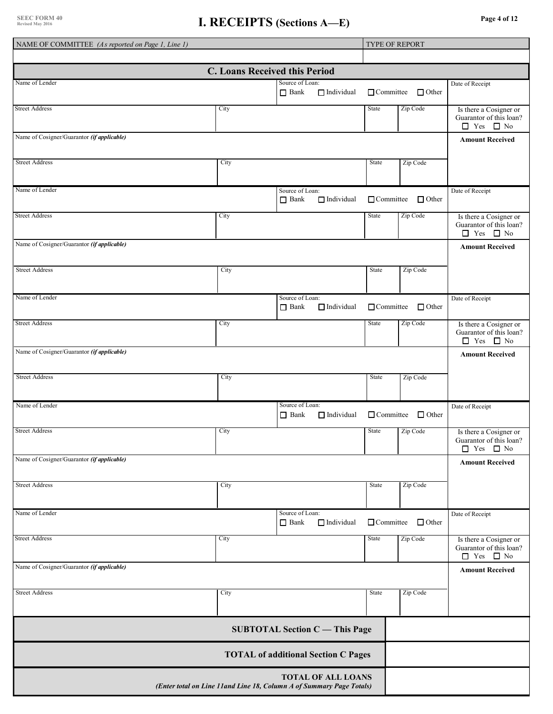| NAME OF COMMITTEE (As reported on Page 1, Line 1) |      |                                                                                                   |                  | <b>TYPE OF REPORT</b>         |                                                                                             |
|---------------------------------------------------|------|---------------------------------------------------------------------------------------------------|------------------|-------------------------------|---------------------------------------------------------------------------------------------|
|                                                   |      |                                                                                                   |                  |                               |                                                                                             |
|                                                   |      | <b>C. Loans Received this Period</b>                                                              |                  |                               |                                                                                             |
| Name of Lender                                    |      | Source of Loan:<br>$\Box$ Bank<br>$\Box$ Individual                                               |                  | $\Box$ Committee $\Box$ Other | Date of Receipt                                                                             |
| <b>Street Address</b>                             | City |                                                                                                   | <b>State</b>     | Zip Code                      | Is there a Cosigner or<br>Guarantor of this loan?<br>$\Box$ Yes<br>$\Box$ No                |
| Name of Cosigner/Guarantor (if applicable)        |      |                                                                                                   |                  |                               | <b>Amount Received</b>                                                                      |
| <b>Street Address</b>                             | City |                                                                                                   | State            | Zip Code                      |                                                                                             |
| Name of Lender                                    |      | Source of Loan:<br>$\Box$ Individual<br>$\Box$ Bank                                               | $\Box$ Committee | $\Box$ Other                  | Date of Receipt                                                                             |
| <b>Street Address</b>                             | City |                                                                                                   | State            | Zip Code                      | Is there a Cosigner or<br>Guarantor of this loan?<br>$\Box$ Yes $\Box$ No                   |
| Name of Cosigner/Guarantor (if applicable)        |      |                                                                                                   |                  |                               | <b>Amount Received</b>                                                                      |
| <b>Street Address</b>                             | City |                                                                                                   | State            | Zip Code                      |                                                                                             |
| Name of Lender                                    |      | Source of Loan:<br>$\Box$ Bank<br>$\Box$ Individual                                               | $\Box$ Committee | $\Box$ Other                  | Date of Receipt                                                                             |
| <b>Street Address</b>                             | City |                                                                                                   | State            | Zip Code                      | Is there a Cosigner or<br>Guarantor of this loan?<br>$\hfill\Box$<br>Yes $\hfill\Box$<br>No |
| Name of Cosigner/Guarantor (if applicable)        |      |                                                                                                   |                  |                               | <b>Amount Received</b>                                                                      |
| <b>Street Address</b>                             | City |                                                                                                   | State            | Zip Code                      |                                                                                             |
| Name of Lender                                    |      | Source of Loan:<br>$\Box$ Individual<br>$\Box$ Bank                                               | $\Box$ Committee | $\Box$ Other                  | Date of Receipt                                                                             |
| <b>Street Address</b>                             | City |                                                                                                   | State            | Zip Code                      | Is there a Cosigner or<br>Guarantor of this loan?<br>$\Box$ Yes<br>$\Box$ No                |
| Name of Cosigner/Guarantor (if applicable)        |      |                                                                                                   |                  |                               | <b>Amount Received</b>                                                                      |
| <b>Street Address</b>                             | City |                                                                                                   | State            | Zip Code                      |                                                                                             |
| Name of Lender                                    |      | Source of Loan:<br>$\Box$ Individual<br>$\Box$ Bank                                               | $\Box$ Committee | $\Box$ Other                  | Date of Receipt                                                                             |
| <b>Street Address</b>                             | City |                                                                                                   | State            | Zip Code                      | Is there a Cosigner or<br>Guarantor of this loan?<br>$\Box$ Yes<br>$\Box$ No                |
| Name of Cosigner/Guarantor (if applicable)        |      |                                                                                                   |                  |                               | <b>Amount Received</b>                                                                      |
| <b>Street Address</b>                             | City |                                                                                                   | State            | Zip Code                      |                                                                                             |
|                                                   |      | <b>SUBTOTAL Section C</b> - This Page                                                             |                  |                               |                                                                                             |
|                                                   |      | <b>TOTAL of additional Section C Pages</b>                                                        |                  |                               |                                                                                             |
|                                                   |      | <b>TOTAL OF ALL LOANS</b><br>(Enter total on Line 11and Line 18, Column A of Summary Page Totals) |                  |                               |                                                                                             |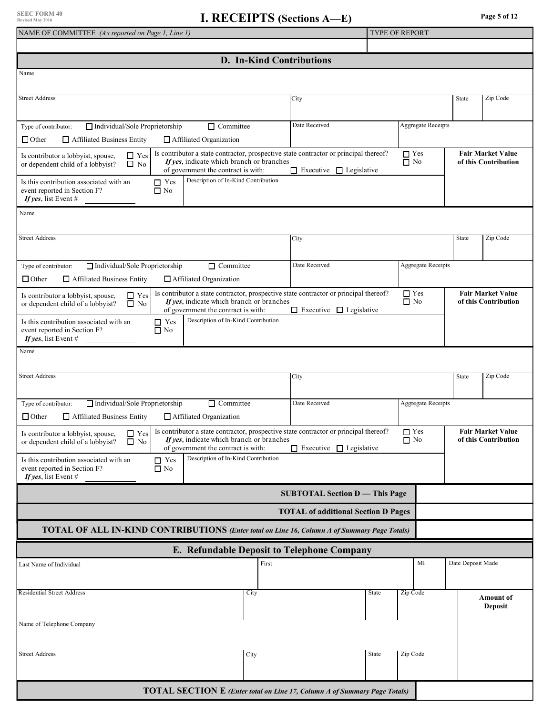| NAME OF COMMITTEE (As reported on Page 1, Line 1)                                                                                                                                                                                                                                                                                       |                                            | <b>TYPE OF REPORT</b>                            |                                                  |  |  |  |  |  |  |  |
|-----------------------------------------------------------------------------------------------------------------------------------------------------------------------------------------------------------------------------------------------------------------------------------------------------------------------------------------|--------------------------------------------|--------------------------------------------------|--------------------------------------------------|--|--|--|--|--|--|--|
|                                                                                                                                                                                                                                                                                                                                         |                                            |                                                  |                                                  |  |  |  |  |  |  |  |
| <b>D.</b> In-Kind Contributions                                                                                                                                                                                                                                                                                                         |                                            |                                                  |                                                  |  |  |  |  |  |  |  |
| Name                                                                                                                                                                                                                                                                                                                                    |                                            |                                                  |                                                  |  |  |  |  |  |  |  |
| <b>Street Address</b>                                                                                                                                                                                                                                                                                                                   | City                                       |                                                  |                                                  |  |  |  |  |  |  |  |
| Individual/Sole Proprietorship<br>$\Box$ Committee<br>Type of contributor:                                                                                                                                                                                                                                                              | Date Received                              | Aggregate Receipts                               |                                                  |  |  |  |  |  |  |  |
| $\Box$ Other<br>Affiliated Business Entity<br>Affiliated Organization                                                                                                                                                                                                                                                                   |                                            |                                                  |                                                  |  |  |  |  |  |  |  |
| Is contributor a state contractor, prospective state contractor or principal thereof?<br>$\hfill\blacksquare$<br>Yes<br>Is contributor a lobbyist, spouse,<br>If yes, indicate which branch or branches<br>$\Box$ No<br>or dependent child of a lobbyist?<br>of government the contract is with:<br>$\Box$ Executive $\Box$ Legislative | $\Box$ Yes<br>$\Box$ No                    | <b>Fair Market Value</b><br>of this Contribution |                                                  |  |  |  |  |  |  |  |
| Description of In-Kind Contribution<br>Is this contribution associated with an<br>$\Box$ Yes<br>event reported in Section F?<br>$\Box$ No<br>If yes, list Event #                                                                                                                                                                       |                                            |                                                  |                                                  |  |  |  |  |  |  |  |
| Name                                                                                                                                                                                                                                                                                                                                    |                                            |                                                  |                                                  |  |  |  |  |  |  |  |
| <b>Street Address</b><br>City                                                                                                                                                                                                                                                                                                           |                                            |                                                  | Zip Code<br>State                                |  |  |  |  |  |  |  |
| Individual/Sole Proprietorship<br>$\Box$ Committee<br>Type of contributor:                                                                                                                                                                                                                                                              | Date Received                              | <b>Aggregate Receipts</b>                        |                                                  |  |  |  |  |  |  |  |
| $\Box$ Other<br>Affiliated Business Entity<br>Affiliated Organization                                                                                                                                                                                                                                                                   |                                            |                                                  |                                                  |  |  |  |  |  |  |  |
| Is contributor a state contractor, prospective state contractor or principal thereof?<br>Is contributor a lobbyist, spouse,<br>$\Box$ Yes<br>If yes, indicate which branch or branches<br>$\Box$ No<br>or dependent child of a lobbyist?<br>of government the contract is with:                                                         | $\Box$ Executive $\Box$ Legislative        | $\Box$ Yes<br>$\Box$ No                          | <b>Fair Market Value</b><br>of this Contribution |  |  |  |  |  |  |  |
| Description of In-Kind Contribution<br>Is this contribution associated with an<br>$\Box$ Yes<br>event reported in Section F?<br>$\Box$ No<br>If yes, list Event #                                                                                                                                                                       |                                            |                                                  |                                                  |  |  |  |  |  |  |  |
| Name                                                                                                                                                                                                                                                                                                                                    |                                            |                                                  |                                                  |  |  |  |  |  |  |  |
| <b>Street Address</b><br>City                                                                                                                                                                                                                                                                                                           |                                            |                                                  | Zip Code<br><b>State</b>                         |  |  |  |  |  |  |  |
| Individual/Sole Proprietorship<br>$\Box$ Committee<br>Type of contributor:<br>$\Box$ Other<br>$\Box$ Affiliated Business Entity<br>$\Box$ Affiliated Organization                                                                                                                                                                       | Date Received                              | <b>Aggregate Receipts</b>                        |                                                  |  |  |  |  |  |  |  |
| Is contributor a state contractor, prospective state contractor or principal thereof?<br>Is contributor a lobbyist, spouse,<br>$\Box$ Yes<br>If yes, indicate which branch or branches<br>or dependent child of a lobbyist?<br>$\Box$ No<br>of government the contract is with:                                                         | $\Box$ Executive $\Box$ Legislative        | $\Box$ Yes<br>$\Box$ No                          | <b>Fair Market Value</b><br>of this Contribution |  |  |  |  |  |  |  |
| Description of In-Kind Contribution<br>$\Box$ Yes<br>Is this contribution associated with an<br>event reported in Section F?<br>$\Box$ No<br>If yes, list Event #                                                                                                                                                                       |                                            |                                                  |                                                  |  |  |  |  |  |  |  |
|                                                                                                                                                                                                                                                                                                                                         | <b>SUBTOTAL Section D - This Page</b>      |                                                  |                                                  |  |  |  |  |  |  |  |
|                                                                                                                                                                                                                                                                                                                                         | <b>TOTAL of additional Section D Pages</b> |                                                  |                                                  |  |  |  |  |  |  |  |
| <b>TOTAL OF ALL IN-KIND CONTRIBUTIONS</b> (Enter total on Line 16, Column A of Summary Page Totals)                                                                                                                                                                                                                                     |                                            |                                                  |                                                  |  |  |  |  |  |  |  |
| E. Refundable Deposit to Telephone Company                                                                                                                                                                                                                                                                                              |                                            |                                                  |                                                  |  |  |  |  |  |  |  |
| First<br>Last Name of Individual                                                                                                                                                                                                                                                                                                        |                                            | MI                                               | Date Deposit Made                                |  |  |  |  |  |  |  |
| <b>Residential Street Address</b><br>City                                                                                                                                                                                                                                                                                               | State                                      | Zip Code                                         | <b>Amount of</b><br><b>Deposit</b>               |  |  |  |  |  |  |  |
| Name of Telephone Company                                                                                                                                                                                                                                                                                                               |                                            |                                                  |                                                  |  |  |  |  |  |  |  |
| <b>Street Address</b><br>City                                                                                                                                                                                                                                                                                                           | State                                      | Zip Code                                         |                                                  |  |  |  |  |  |  |  |
|                                                                                                                                                                                                                                                                                                                                         |                                            |                                                  |                                                  |  |  |  |  |  |  |  |
| <b>TOTAL SECTION E</b> (Enter total on Line 17, Column A of Summary Page Totals)                                                                                                                                                                                                                                                        |                                            |                                                  |                                                  |  |  |  |  |  |  |  |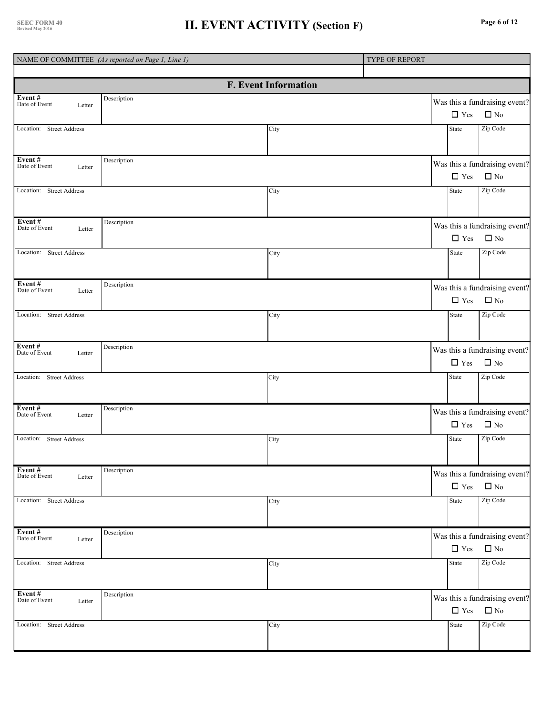### **II. EVENT ACTIVITY (Section F)**

|  | Page 6 of 12 |  |  |  |
|--|--------------|--|--|--|
|--|--------------|--|--|--|

|                                           | NAME OF COMMITTEE (As reported on Page 1, Line 1) |                             | TYPE OF REPORT |              |                                               |
|-------------------------------------------|---------------------------------------------------|-----------------------------|----------------|--------------|-----------------------------------------------|
|                                           |                                                   | <b>F. Event Information</b> |                |              |                                               |
| Event#<br>Date of Event<br>Letter         | Description                                       |                             |                | $\Box$ Yes   | Was this a fundraising event?<br>$\square$ No |
| Location: Street Address                  |                                                   | City                        |                | <b>State</b> | Zip Code                                      |
| Event#<br>Date of Event<br>Letter         | Description                                       |                             |                | $\Box$ Yes   | Was this a fundraising event?<br>$\Box$ No    |
| Location: Street Address                  |                                                   | City                        |                | State        | Zip Code                                      |
| Event#<br>Date of Event<br>Letter         | Description                                       |                             |                | $\Box$ Yes   | Was this a fundraising event?<br>$\Box$ No    |
| Location: Street Address                  |                                                   | City                        |                | State        | Zip Code                                      |
| Event#<br>Date of Event<br>Letter         | Description                                       |                             |                | $\Box$ Yes   | Was this a fundraising event?<br>$\Box$ No    |
| Location: Street Address                  |                                                   | City                        |                | State        | Zip Code                                      |
| Event#<br>Date of Event<br>Letter         | Description                                       |                             |                | $\Box$ Yes   | Was this a fundraising event?<br>$\Box$ No    |
| Location: Street Address                  |                                                   | City                        |                | State        | Zip Code                                      |
| Event#<br>Date of Event<br>Letter         | Description                                       |                             |                | $\Box$ Yes   | Was this a fundraising event?<br>$\square$ No |
| Location: Street Address                  |                                                   | City                        |                | <b>State</b> | Zip Code                                      |
| Event#<br>Date of Event<br>Letter         | Description                                       |                             |                | $\Box$ Yes   | Was this a fundraising event?<br>$\Box$ No    |
| Location: Street Address                  |                                                   | City                        |                | State        | Zip Code                                      |
| Event#<br>Date of Event<br>Letter         | Description                                       |                             |                | $\Box$ Yes   | Was this a fundraising event?<br>$\Box$ No    |
| Location: Street Address                  |                                                   | City                        |                | State        | Zip Code                                      |
| <b>Event #</b><br>Date of Event<br>Letter | Description                                       |                             |                | $\Box$ Yes   | Was this a fundraising event?<br>$\square$ No |
| Location: Street Address                  |                                                   | City                        |                | State        | Zip Code                                      |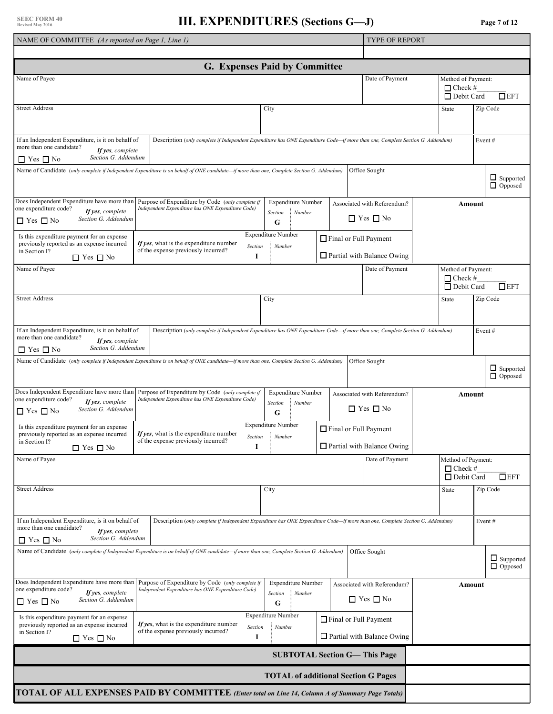| NAME OF COMMITTEE (As reported on Page 1, Line 1)                                                                                                |                                                                                                                                                   |                                                         |  | <b>TYPE OF REPORT</b>                                      |                                                           |                                    |  |
|--------------------------------------------------------------------------------------------------------------------------------------------------|---------------------------------------------------------------------------------------------------------------------------------------------------|---------------------------------------------------------|--|------------------------------------------------------------|-----------------------------------------------------------|------------------------------------|--|
|                                                                                                                                                  |                                                                                                                                                   |                                                         |  |                                                            |                                                           |                                    |  |
|                                                                                                                                                  |                                                                                                                                                   | G. Expenses Paid by Committee                           |  |                                                            |                                                           |                                    |  |
| Name of Payee                                                                                                                                    |                                                                                                                                                   |                                                         |  | Date of Payment                                            | Method of Payment:<br>$\Box$ Check #<br>$\Box$ Debit Card | $\Box$ EFT                         |  |
| <b>Street Address</b>                                                                                                                            |                                                                                                                                                   | City                                                    |  |                                                            | State                                                     | Zip Code                           |  |
| If an Independent Expenditure, is it on behalf of<br>more than one candidate?<br>If yes, complete<br>Section G. Addendum<br>$\Box$ Yes $\Box$ No | Description (only complete if Independent Expenditure has ONE Expenditure Code—if more than one, Complete Section G. Addendum)                    |                                                         |  |                                                            |                                                           | Event#                             |  |
|                                                                                                                                                  | Name of Candidate (only complete if Independent Expenditure is on behalf of ONE candidate-if more than one, Complete Section G. Addendum)         |                                                         |  | Office Sought                                              |                                                           | $\Box$ Supported<br>$\Box$ Opposed |  |
| one expenditure code?<br>If yes, complete<br>Section G. Addendum<br>$\Box$ Yes $\Box$ No                                                         | Does Independent Expenditure have more than Purpose of Expenditure by Code (only complete if<br>Independent Expenditure has ONE Expenditure Code) | <b>Expenditure Number</b><br>: Number<br>Section<br>G   |  | Associated with Referendum?<br>$\Box$ Yes $\Box$ No        | Amount                                                    |                                    |  |
| Is this expenditure payment for an expense<br>previously reported as an expense incurred<br>in Section I?<br>$\Box$ Yes $\Box$ No                | If yes, what is the expenditure number<br>Section<br>of the expense previously incurred?<br>1                                                     | <b>Expenditure Number</b><br>: Number                   |  | Final or Full Payment<br>$\Box$ Partial with Balance Owing |                                                           |                                    |  |
| Name of Payee                                                                                                                                    |                                                                                                                                                   |                                                         |  | Date of Payment                                            | Method of Payment:<br>$\Box$ Check #<br>$\Box$ Debit Card | $\square$ EFT                      |  |
| <b>Street Address</b>                                                                                                                            |                                                                                                                                                   | City                                                    |  |                                                            | State                                                     | Zip Code                           |  |
| If an Independent Expenditure, is it on behalf of<br>more than one candidate?<br>If yes, complete<br>Section G. Addendum<br>$\Box$ Yes $\Box$ No | Description (only complete if Independent Expenditure has ONE Expenditure Code—if more than one, Complete Section G. Addendum)                    |                                                         |  |                                                            |                                                           | Event#                             |  |
|                                                                                                                                                  | Name of Candidate (only complete if Independent Expenditure is on behalf of ONE candidate-if more than one, Complete Section G. Addendum)         |                                                         |  | Office Sought                                              |                                                           | $\Box$ Supported<br>$\Box$ Opposed |  |
| Does Independent Expenditure have more than<br>one expenditure code?<br>If yes, complete<br>Section G. Addendum<br>$\Box$ Yes $\Box$ No          | Purpose of Expenditure by Code (only complete if<br>Independent Expenditure has ONE Expenditure Code)                                             | <b>Expenditure Number</b><br>: Number<br>Section<br>G   |  | Associated with Referendum?<br>$\Box$ Yes $\Box$ No        | Amount                                                    |                                    |  |
| Is this expenditure payment for an expense<br>previously reported as an expense incurred<br>in Section I?<br>$\Box$ Yes $\Box$ No                | If yes, what is the expenditure number<br>of the expense previously incurred?<br>1                                                                | <b>Expenditure Number</b><br>Section Number             |  | Final or Full Payment<br>$\Box$ Partial with Balance Owing |                                                           |                                    |  |
| Name of Payee                                                                                                                                    |                                                                                                                                                   |                                                         |  | Date of Payment                                            | Method of Payment:<br>$\Box$ Check #<br>$\Box$ Debit Card | $\Box$ EFT                         |  |
| <b>Street Address</b>                                                                                                                            |                                                                                                                                                   | City                                                    |  |                                                            | State                                                     | Zip Code                           |  |
| If an Independent Expenditure, is it on behalf of<br>more than one candidate?<br>If yes, complete<br>Section G. Addendum<br>$\Box$ Yes $\Box$ No | Description (only complete if Independent Expenditure has ONE Expenditure Code—if more than one, Complete Section G. Addendum)                    |                                                         |  |                                                            |                                                           | Event#                             |  |
|                                                                                                                                                  | Name of Candidate (only complete if Independent Expenditure is on behalf of ONE candidate—if more than one, Complete Section G. Addendum)         |                                                         |  | Office Sought                                              |                                                           | $\Box$ Supported<br>$\Box$ Opposed |  |
| Does Independent Expenditure have more than<br>one expenditure code?<br>If yes, complete<br>Section G. Addendum<br>$\Box$ Yes $\Box$ No          | Purpose of Expenditure by Code (only complete if<br>Independent Expenditure has ONE Expenditure Code)                                             | <b>Expenditure Number</b><br>$:$ Number<br>Section<br>G |  | Associated with Referendum?<br>$\Box$ Yes $\Box$ No        |                                                           | Amount                             |  |
| Is this expenditure payment for an expense<br>previously reported as an expense incurred<br>in Section I?<br>$\Box$ Yes $\Box$ No                | If yes, what is the expenditure number<br>Section<br>of the expense previously incurred?<br>1                                                     | <b>Expenditure Number</b><br>Number                     |  | Final or Full Payment<br>$\Box$ Partial with Balance Owing |                                                           |                                    |  |
|                                                                                                                                                  |                                                                                                                                                   |                                                         |  | <b>SUBTOTAL Section G-This Page</b>                        |                                                           |                                    |  |
|                                                                                                                                                  |                                                                                                                                                   | <b>TOTAL of additional Section G Pages</b>              |  |                                                            |                                                           |                                    |  |
|                                                                                                                                                  | TOTAL OF ALL EXPENSES PAID BY COMMITTEE (Enter total on Line 14, Column A of Summary Page Totals)                                                 |                                                         |  |                                                            |                                                           |                                    |  |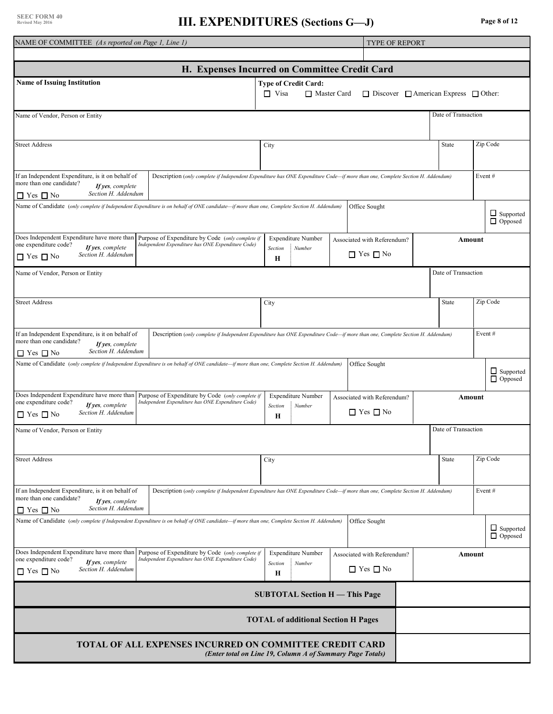### **III. EXPENDITURES** (Sections G—J) Page 8 of 12

| NAME OF COMMITTEE (As reported on Page 1, Line 1)                                                                                                                                                                                                                                                                                                                                      |                                                                                                                                                   |                        |                                               |  | <b>TYPE OF REPORT</b>                                 |       |                                    |           |                                    |  |
|----------------------------------------------------------------------------------------------------------------------------------------------------------------------------------------------------------------------------------------------------------------------------------------------------------------------------------------------------------------------------------------|---------------------------------------------------------------------------------------------------------------------------------------------------|------------------------|-----------------------------------------------|--|-------------------------------------------------------|-------|------------------------------------|-----------|------------------------------------|--|
|                                                                                                                                                                                                                                                                                                                                                                                        |                                                                                                                                                   |                        |                                               |  |                                                       |       |                                    |           |                                    |  |
| H. Expenses Incurred on Committee Credit Card                                                                                                                                                                                                                                                                                                                                          |                                                                                                                                                   |                        |                                               |  |                                                       |       |                                    |           |                                    |  |
| <b>Name of Issuing Institution</b>                                                                                                                                                                                                                                                                                                                                                     |                                                                                                                                                   | $\Box$ Visa            | <b>Type of Credit Card:</b><br>□ Master Card  |  | $\Box$ Discover $\Box$ American Express $\Box$ Other: |       |                                    |           |                                    |  |
| Name of Vendor, Person or Entity                                                                                                                                                                                                                                                                                                                                                       |                                                                                                                                                   |                        |                                               |  |                                                       |       | Date of Transaction                |           |                                    |  |
| <b>Street Address</b>                                                                                                                                                                                                                                                                                                                                                                  |                                                                                                                                                   | City                   |                                               |  |                                                       |       | State                              | Zip Code  |                                    |  |
| If an Independent Expenditure, is it on behalf of<br>more than one candidate?<br>If yes, complete<br>Section H. Addendum<br>$\Box$ Yes $\Box$ No                                                                                                                                                                                                                                       | Description (only complete if Independent Expenditure has ONE Expenditure Code-if more than one, Complete Section H. Addendum)                    |                        |                                               |  |                                                       |       |                                    | Event#    |                                    |  |
|                                                                                                                                                                                                                                                                                                                                                                                        | Name of Candidate (only complete if Independent Expenditure is on behalf of ONE candidate-if more than one, Complete Section H. Addendum)         |                        |                                               |  | Office Sought                                         |       |                                    |           | $\Box$ Supported<br>$\Box$ Opposed |  |
| one expenditure code?<br>If yes, complete<br>Section H. Addendum<br>$\Box$ Yes $\Box$ No                                                                                                                                                                                                                                                                                               | Does Independent Expenditure have more than Purpose of Expenditure by Code (only complete if<br>Independent Expenditure has ONE Expenditure Code) | H                      | <b>Expenditure Number</b><br>Section : Number |  | Associated with Referendum?<br>$\Box$ Yes $\Box$ No   |       | Amount                             |           |                                    |  |
| Name of Vendor, Person or Entity                                                                                                                                                                                                                                                                                                                                                       |                                                                                                                                                   |                        |                                               |  |                                                       |       | Date of Transaction                |           |                                    |  |
| <b>Street Address</b>                                                                                                                                                                                                                                                                                                                                                                  | City                                                                                                                                              |                        |                                               |  |                                                       | State |                                    | Zip Code  |                                    |  |
| If an Independent Expenditure, is it on behalf of<br>more than one candidate?<br>If yes, complete<br>Section H. Addendum<br>$\Box$ Yes $\Box$ No                                                                                                                                                                                                                                       | Description (only complete if Independent Expenditure has ONE Expenditure Code—if more than one, Complete Section H. Addendum)                    |                        |                                               |  |                                                       |       |                                    | Event $#$ |                                    |  |
|                                                                                                                                                                                                                                                                                                                                                                                        | Name of Candidate (only complete if Independent Expenditure is on behalf of ONE candidate—if more than one, Complete Section H. Addendum)         |                        |                                               |  | Office Sought                                         |       |                                    |           | $\Box$ Supported<br>$\Box$ Opposed |  |
| Does Independent Expenditure have more than<br>one expenditure code?<br>If yes, complete<br>Section H. Addendum<br>$\Box$ Yes $\Box$ No                                                                                                                                                                                                                                                | Purpose of Expenditure by Code (only complete if<br>Independent Expenditure has ONE Expenditure Code)                                             | Section<br>$\mathbf H$ | <b>Expenditure Number</b><br>$:$ Number       |  | Associated with Referendum?<br>$\Box$ Yes $\Box$ No   |       | Amount                             |           |                                    |  |
| Name of Vendor, Person or Entity                                                                                                                                                                                                                                                                                                                                                       |                                                                                                                                                   |                        |                                               |  |                                                       |       | Date of Transaction                |           |                                    |  |
| <b>Street Address</b>                                                                                                                                                                                                                                                                                                                                                                  |                                                                                                                                                   | City                   |                                               |  |                                                       |       | State                              |           | Zip Code                           |  |
| If an Independent Expenditure, is it on behalf of<br>more than one candidate?<br>If yes, complete<br>Section H. Addendum<br>$\Box$ Yes $\Box$ No                                                                                                                                                                                                                                       | Description (only complete if Independent Expenditure has ONE Expenditure Code—if more than one, Complete Section H. Addendum)                    |                        |                                               |  |                                                       |       |                                    | Event $#$ |                                    |  |
| Name of Candidate (only complete if Independent Expenditure is on behalf of ONE candidate—if more than one, Complete Section H. Addendum)<br>Office Sought                                                                                                                                                                                                                             |                                                                                                                                                   |                        |                                               |  |                                                       |       | $\Box$ Supported<br>$\Box$ Opposed |           |                                    |  |
| Does Independent Expenditure have more than<br>Purpose of Expenditure by Code (only complete if<br><b>Expenditure Number</b><br>Associated with Referendum?<br>Amount<br>one expenditure code?<br>Independent Expenditure has ONE Expenditure Code)<br>If yes, complete<br>Section<br>$:$ Number<br>$\Box$ Yes $\Box$ No<br>Section H. Addendum<br>$\Box$ Yes $\Box$ No<br>$\mathbf H$ |                                                                                                                                                   |                        |                                               |  |                                                       |       |                                    |           |                                    |  |
|                                                                                                                                                                                                                                                                                                                                                                                        | <b>SUBTOTAL Section H - This Page</b>                                                                                                             |                        |                                               |  |                                                       |       |                                    |           |                                    |  |
|                                                                                                                                                                                                                                                                                                                                                                                        | <b>TOTAL of additional Section H Pages</b>                                                                                                        |                        |                                               |  |                                                       |       |                                    |           |                                    |  |
|                                                                                                                                                                                                                                                                                                                                                                                        | <b>TOTAL OF ALL EXPENSES INCURRED ON COMMITTEE CREDIT CARD</b><br>(Enter total on Line 19, Column A of Summary Page Totals)                       |                        |                                               |  |                                                       |       |                                    |           |                                    |  |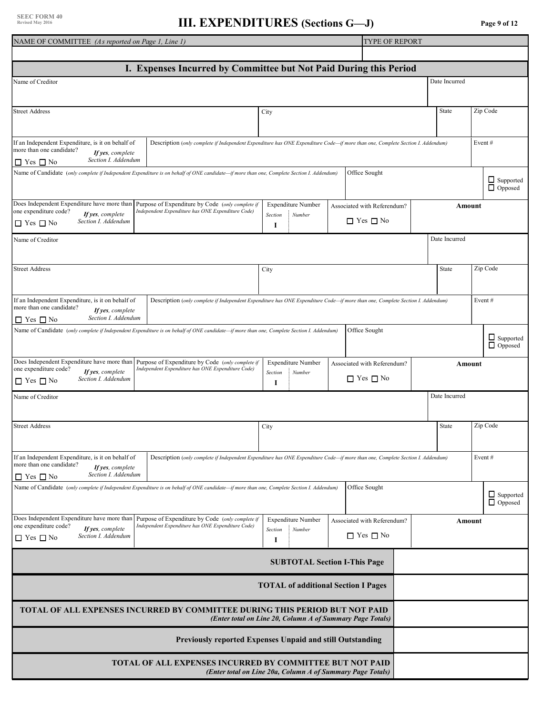#### **SEEC FORM 40 Revised May 2016**

#### **III. EXPENDITURES** (Sections G—J) **Page 9 of 12**

| NAME OF COMMITTEE (As reported on Page 1, Line 1)                                                 |                                                                                                                                           |                                                            | TYPE OF REPORT              |               |                                    |
|---------------------------------------------------------------------------------------------------|-------------------------------------------------------------------------------------------------------------------------------------------|------------------------------------------------------------|-----------------------------|---------------|------------------------------------|
|                                                                                                   |                                                                                                                                           |                                                            |                             |               |                                    |
|                                                                                                   | I. Expenses Incurred by Committee but Not Paid During this Period                                                                         |                                                            |                             |               |                                    |
| Name of Creditor                                                                                  |                                                                                                                                           |                                                            |                             | Date Incurred |                                    |
|                                                                                                   |                                                                                                                                           |                                                            |                             |               |                                    |
| <b>Street Address</b>                                                                             |                                                                                                                                           | City                                                       |                             | State         | Zip Code                           |
|                                                                                                   |                                                                                                                                           |                                                            |                             |               |                                    |
|                                                                                                   |                                                                                                                                           |                                                            |                             |               |                                    |
| If an Independent Expenditure, is it on behalf of<br>more than one candidate?                     | Description (only complete if Independent Expenditure has ONE Expenditure Code—if more than one, Complete Section I. Addendum)            |                                                            |                             |               | Event#                             |
| If yes, complete<br>Section I. Addendum<br>$\Box$ Yes $\Box$ No                                   |                                                                                                                                           |                                                            |                             |               |                                    |
|                                                                                                   | Name of Candidate (only complete if Independent Expenditure is on behalf of ONE candidate—if more than one, Complete Section I. Addendum) |                                                            | Office Sought               |               |                                    |
|                                                                                                   |                                                                                                                                           |                                                            |                             |               | $\Box$ Supported<br>$\Box$ Opposed |
|                                                                                                   |                                                                                                                                           |                                                            |                             |               |                                    |
| Does Independent Expenditure have more than<br>one expenditure code?<br>If yes, complete          | Purpose of Expenditure by Code (only complete if<br>Independent Expenditure has ONE Expenditure Code)                                     | <b>Expenditure Number</b>                                  | Associated with Referendum? | Amount        |                                    |
| Section I. Addendum<br>$\Box$ Yes $\Box$ No                                                       |                                                                                                                                           | Section<br>Number<br>1                                     | $\Box$ Yes $\Box$ No        |               |                                    |
|                                                                                                   |                                                                                                                                           |                                                            |                             |               |                                    |
| Name of Creditor                                                                                  |                                                                                                                                           |                                                            |                             | Date Incurred |                                    |
|                                                                                                   |                                                                                                                                           |                                                            |                             |               |                                    |
| <b>Street Address</b>                                                                             |                                                                                                                                           | City                                                       |                             | State         | Zip Code                           |
|                                                                                                   |                                                                                                                                           |                                                            |                             |               |                                    |
| If an Independent Expenditure, is it on behalf of                                                 | Description (only complete if Independent Expenditure has ONE Expenditure Code—if more than one, Complete Section I. Addendum)            |                                                            |                             |               | Event#                             |
| more than one candidate?<br>If yes, complete                                                      |                                                                                                                                           |                                                            |                             |               |                                    |
| Section I. Addendum<br>$\Box$ Yes $\Box$ No                                                       |                                                                                                                                           |                                                            |                             |               |                                    |
|                                                                                                   | Name of Candidate (only complete if Independent Expenditure is on behalf of ONE candidate—if more than one, Complete Section I. Addendum) |                                                            | Office Sought               |               |                                    |
|                                                                                                   |                                                                                                                                           |                                                            |                             |               | □ Supported<br>□ Opposed           |
|                                                                                                   | Does Independent Expenditure have more than Purpose of Expenditure by Code (only complete if                                              | <b>Expenditure Number</b>                                  | Associated with Referendum? | Amount        |                                    |
| one expenditure code?<br>If yes, complete                                                         | Independent Expenditure has ONE Expenditure Code)                                                                                         | Section<br>Number                                          | $\Box$ Yes $\Box$ No        |               |                                    |
| Section I. Addendum<br>$\Box$ Yes $\Box$ No                                                       |                                                                                                                                           | 1                                                          |                             |               |                                    |
| Name of Creditor                                                                                  |                                                                                                                                           |                                                            |                             | Date Incurred |                                    |
|                                                                                                   |                                                                                                                                           |                                                            |                             |               |                                    |
| <b>Street Address</b>                                                                             |                                                                                                                                           | City                                                       |                             | State         | Zip Code                           |
|                                                                                                   |                                                                                                                                           |                                                            |                             |               |                                    |
|                                                                                                   |                                                                                                                                           |                                                            |                             |               |                                    |
| If an Independent Expenditure, is it on behalf of<br>more than one candidate?<br>If yes, complete | Description (only complete if Independent Expenditure has ONE Expenditure Code—if more than one, Complete Section I. Addendum)            |                                                            |                             |               | Event#                             |
| Section I. Addendum<br>$\Box$ Yes $\Box$ No                                                       |                                                                                                                                           |                                                            |                             |               |                                    |
|                                                                                                   | Name of Candidate (only complete if Independent Expenditure is on behalf of ONE candidate—if more than one, Complete Section I. Addendum) |                                                            | Office Sought               |               |                                    |
|                                                                                                   |                                                                                                                                           |                                                            |                             |               | $\Box$ Supported<br>$\Box$ Opposed |
|                                                                                                   | Does Independent Expenditure have more than Purpose of Expenditure by Code (only complete if                                              | Expenditure Number                                         |                             |               |                                    |
| one expenditure code?<br>If yes, complete                                                         | Independent Expenditure has ONE Expenditure Code)                                                                                         | Section<br>Number                                          | Associated with Referendum? | Amount        |                                    |
| Section I. Addendum<br>$\Box$ Yes $\Box$ No                                                       |                                                                                                                                           | 1                                                          | $\Box$ Yes $\Box$ No        |               |                                    |
|                                                                                                   |                                                                                                                                           | <b>SUBTOTAL Section I-This Page</b>                        |                             |               |                                    |
|                                                                                                   |                                                                                                                                           | <b>TOTAL of additional Section I Pages</b>                 |                             |               |                                    |
|                                                                                                   |                                                                                                                                           |                                                            |                             |               |                                    |
|                                                                                                   | <b>TOTAL OF ALL EXPENSES INCURRED BY COMMITTEE DURING THIS PERIOD BUT NOT PAID</b>                                                        | (Enter total on Line 20, Column A of Summary Page Totals)  |                             |               |                                    |
|                                                                                                   | Previously reported Expenses Unpaid and still Outstanding                                                                                 |                                                            |                             |               |                                    |
|                                                                                                   | <b>TOTAL OF ALL EXPENSES INCURRED BY COMMITTEE BUT NOT PAID</b>                                                                           |                                                            |                             |               |                                    |
|                                                                                                   |                                                                                                                                           | (Enter total on Line 20a, Column A of Summary Page Totals) |                             |               |                                    |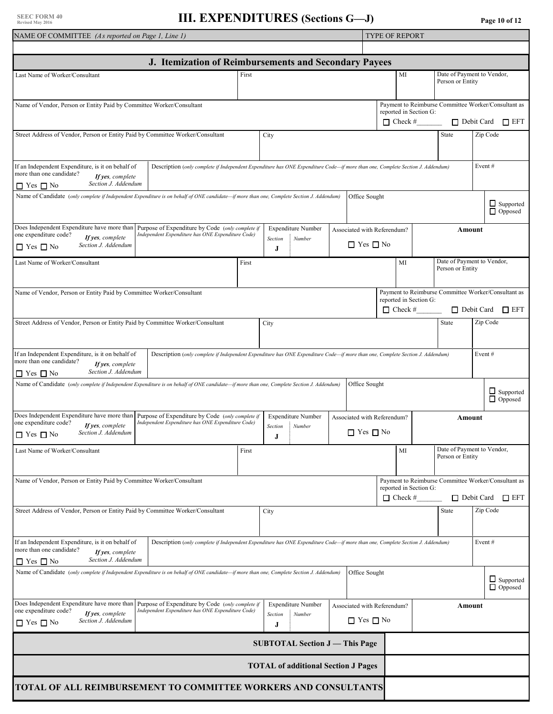| NAME OF COMMITTEE (As reported on Page 1, Line 1)                                                                                                                                        |                                                                                                                                |       |              | <b>TYPE OF REPORT</b>                             |  |                             |                                              |  |                                                     |           |                                    |
|------------------------------------------------------------------------------------------------------------------------------------------------------------------------------------------|--------------------------------------------------------------------------------------------------------------------------------|-------|--------------|---------------------------------------------------|--|-----------------------------|----------------------------------------------|--|-----------------------------------------------------|-----------|------------------------------------|
| J. Itemization of Reimbursements and Secondary Payees                                                                                                                                    |                                                                                                                                |       |              |                                                   |  |                             |                                              |  |                                                     |           |                                    |
| Date of Payment to Vendor,<br>Last Name of Worker/Consultant<br>MI<br>First                                                                                                              |                                                                                                                                |       |              |                                                   |  |                             |                                              |  |                                                     |           |                                    |
|                                                                                                                                                                                          |                                                                                                                                |       |              |                                                   |  |                             |                                              |  | Person or Entity                                    |           |                                    |
| Name of Vendor, Person or Entity Paid by Committee Worker/Consultant                                                                                                                     |                                                                                                                                |       |              |                                                   |  |                             |                                              |  | Payment to Reimburse Committee Worker/Consultant as |           |                                    |
|                                                                                                                                                                                          |                                                                                                                                |       |              |                                                   |  |                             | reported in Section G:<br>$\Box$ Check #     |  |                                                     |           | □ Debit Card □ EFT                 |
| Street Address of Vendor, Person or Entity Paid by Committee Worker/Consultant                                                                                                           |                                                                                                                                |       | City         |                                                   |  |                             |                                              |  | State                                               | Zip Code  |                                    |
|                                                                                                                                                                                          |                                                                                                                                |       |              |                                                   |  |                             |                                              |  |                                                     |           |                                    |
| If an Independent Expenditure, is it on behalf of<br>more than one candidate?<br>If yes, complete                                                                                        | Description (only complete if Independent Expenditure has ONE Expenditure Code—if more than one, Complete Section J. Addendum) |       |              |                                                   |  |                             |                                              |  |                                                     | Event#    |                                    |
| Section J. Addendum<br>$\Box$ Yes $\Box$ No<br>Name of Candidate (only complete if Independent Expenditure is on behalf of ONE candidate—if more than one, Complete Section J. Addendum) |                                                                                                                                |       |              |                                                   |  | Office Sought               |                                              |  |                                                     |           |                                    |
|                                                                                                                                                                                          |                                                                                                                                |       |              |                                                   |  |                             |                                              |  |                                                     |           | $\Box$ Supported<br>$\Box$ Opposed |
| Does Independent Expenditure have more than<br>one expenditure code?<br>If yes, complete                                                                                                 | Purpose of Expenditure by Code (only complete if<br>Independent Expenditure has ONE Expenditure Code)                          |       | Section      | <b>Expenditure Number</b><br>$\frac{1}{2}$ Number |  | Associated with Referendum? |                                              |  | Amount                                              |           |                                    |
| Section J. Addendum<br>$\Box$ Yes $\Box$ No                                                                                                                                              |                                                                                                                                |       | J            |                                                   |  | $\Box$ Yes $\Box$ No        |                                              |  |                                                     |           |                                    |
| Last Name of Worker/Consultant                                                                                                                                                           |                                                                                                                                | First |              |                                                   |  |                             | MI                                           |  | Date of Payment to Vendor,<br>Person or Entity      |           |                                    |
|                                                                                                                                                                                          |                                                                                                                                |       |              |                                                   |  |                             |                                              |  |                                                     |           |                                    |
| Name of Vendor, Person or Entity Paid by Committee Worker/Consultant                                                                                                                     |                                                                                                                                |       |              |                                                   |  |                             | reported in Section G:<br>$\Box$ Check #     |  | Payment to Reimburse Committee Worker/Consultant as |           | $\Box$ Debit Card $\Box$ EFT       |
| Street Address of Vendor, Person or Entity Paid by Committee Worker/Consultant                                                                                                           |                                                                                                                                |       | City         |                                                   |  |                             |                                              |  | <b>State</b>                                        | Zip Code  |                                    |
|                                                                                                                                                                                          |                                                                                                                                |       |              |                                                   |  |                             |                                              |  |                                                     |           |                                    |
| If an Independent Expenditure, is it on behalf of<br>more than one candidate?<br>If yes, complete                                                                                        | Description (only complete if Independent Expenditure has ONE Expenditure Code—if more than one, Complete Section J. Addendum) |       |              |                                                   |  |                             |                                              |  |                                                     | Event $#$ |                                    |
| Section J. Addendum<br>$\Box$ Yes $\Box$ No<br>Name of Candidate (only complete if Independent Expenditure is on behalf of ONE candidate—if more than one, Complete Section J. Addendum) |                                                                                                                                |       |              |                                                   |  | Office Sought               |                                              |  |                                                     |           |                                    |
|                                                                                                                                                                                          |                                                                                                                                |       |              |                                                   |  |                             |                                              |  |                                                     |           | $\Box$ Supported<br>$\Box$ Opposed |
| Does Independent Expenditure have more than<br>one expenditure code?<br>If yes, complete                                                                                                 | Purpose of Expenditure by Code (only complete if<br>Independent Expenditure has ONE Expenditure Code)                          |       |              | <b>Expenditure Number</b><br>Section : Number     |  |                             | Associated with Referendum?<br><b>Amount</b> |  |                                                     |           |                                    |
| Section J. Addendum<br>$\Box$ Yes $\Box$ No                                                                                                                                              |                                                                                                                                |       | J            |                                                   |  | $\Box$ Yes $\Box$ No        |                                              |  |                                                     |           |                                    |
| Last Name of Worker/Consultant                                                                                                                                                           |                                                                                                                                | First |              |                                                   |  |                             | MI                                           |  | Date of Payment to Vendor,<br>Person or Entity      |           |                                    |
| Name of Vendor, Person or Entity Paid by Committee Worker/Consultant                                                                                                                     |                                                                                                                                |       |              |                                                   |  |                             |                                              |  | Payment to Reimburse Committee Worker/Consultant as |           |                                    |
|                                                                                                                                                                                          |                                                                                                                                |       |              |                                                   |  |                             | reported in Section G:<br>$\Box$ Check #     |  | Debit Card                                          |           | $\square$ EFT                      |
| Street Address of Vendor, Person or Entity Paid by Committee Worker/Consultant                                                                                                           |                                                                                                                                |       | City         |                                                   |  |                             |                                              |  | State                                               | Zip Code  |                                    |
| If an Independent Expenditure, is it on behalf of<br>more than one candidate?                                                                                                            | Description (only complete if Independent Expenditure has ONE Expenditure Code—if more than one, Complete Section J. Addendum) |       |              |                                                   |  |                             |                                              |  |                                                     | Event#    |                                    |
| If yes, complete<br>Section J. Addendum<br>$\Box$ Yes $\Box$ No                                                                                                                          |                                                                                                                                |       |              |                                                   |  |                             |                                              |  |                                                     |           |                                    |
| Name of Candidate (only complete if Independent Expenditure is on behalf of ONE candidate—if more than one, Complete Section J. Addendum)                                                |                                                                                                                                |       |              |                                                   |  | Office Sought               |                                              |  |                                                     |           | $\Box$ Supported<br>$\Box$ Opposed |
| Does Independent Expenditure have more than                                                                                                                                              | Purpose of Expenditure by Code (only complete if                                                                               |       |              | Expenditure Number                                |  | Associated with Referendum? |                                              |  | Amount                                              |           |                                    |
| one expenditure code?<br>If yes, complete<br>Section J. Addendum<br>$\Box$ Yes $\Box$ No                                                                                                 | Independent Expenditure has ONE Expenditure Code)                                                                              |       | Section<br>J | : Number                                          |  | $\Box$ Yes $\Box$ No        |                                              |  |                                                     |           |                                    |
|                                                                                                                                                                                          |                                                                                                                                |       |              | <b>SUBTOTAL Section J — This Page</b>             |  |                             |                                              |  |                                                     |           |                                    |
| <b>TOTAL of additional Section J Pages</b>                                                                                                                                               |                                                                                                                                |       |              |                                                   |  |                             |                                              |  |                                                     |           |                                    |
| TOTAL OF ALL REIMBURSEMENT TO COMMITTEE WORKERS AND CONSULTANTS                                                                                                                          |                                                                                                                                |       |              |                                                   |  |                             |                                              |  |                                                     |           |                                    |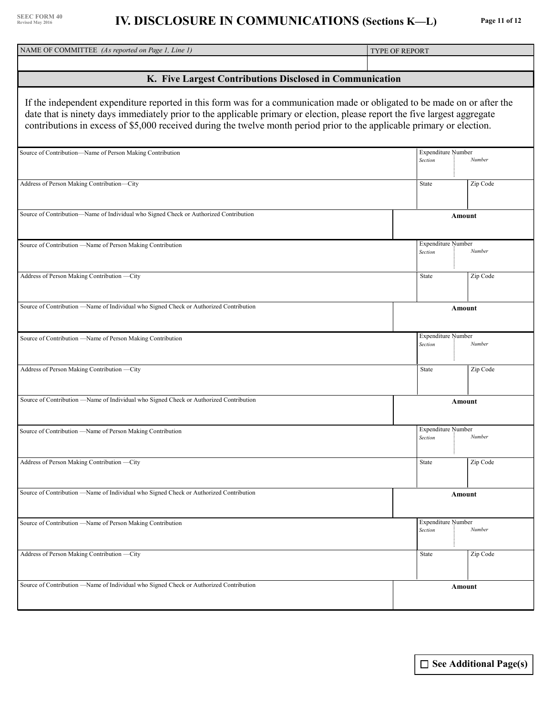| NAME OF COMMITTEE (As reported on Page 1, Line 1)                                                                                                                                                                                                                                                                                                                                  | <b>TYPE OF REPORT</b> |                                      |               |  |  |  |  |  |
|------------------------------------------------------------------------------------------------------------------------------------------------------------------------------------------------------------------------------------------------------------------------------------------------------------------------------------------------------------------------------------|-----------------------|--------------------------------------|---------------|--|--|--|--|--|
|                                                                                                                                                                                                                                                                                                                                                                                    |                       |                                      |               |  |  |  |  |  |
| K. Five Largest Contributions Disclosed in Communication                                                                                                                                                                                                                                                                                                                           |                       |                                      |               |  |  |  |  |  |
| If the independent expenditure reported in this form was for a communication made or obligated to be made on or after the<br>date that is ninety days immediately prior to the applicable primary or election, please report the five largest aggregate<br>contributions in excess of \$5,000 received during the twelve month period prior to the applicable primary or election. |                       |                                      |               |  |  |  |  |  |
| Source of Contribution-Name of Person Making Contribution                                                                                                                                                                                                                                                                                                                          |                       | <b>Expenditure Number</b><br>Section | Number        |  |  |  |  |  |
| Address of Person Making Contribution-City                                                                                                                                                                                                                                                                                                                                         |                       | <b>State</b>                         | Zip Code      |  |  |  |  |  |
| Source of Contribution-Name of Individual who Signed Check or Authorized Contribution                                                                                                                                                                                                                                                                                              |                       |                                      | Amount        |  |  |  |  |  |
| Source of Contribution -Name of Person Making Contribution                                                                                                                                                                                                                                                                                                                         |                       | <b>Expenditure Number</b><br>Section | Number        |  |  |  |  |  |
| Address of Person Making Contribution -- City                                                                                                                                                                                                                                                                                                                                      |                       | State                                | Zip Code      |  |  |  |  |  |
| Source of Contribution —Name of Individual who Signed Check or Authorized Contribution                                                                                                                                                                                                                                                                                             |                       |                                      | Amount        |  |  |  |  |  |
| Source of Contribution -Name of Person Making Contribution                                                                                                                                                                                                                                                                                                                         |                       | <b>Expenditure Number</b><br>Section | Number        |  |  |  |  |  |
| Address of Person Making Contribution -- City                                                                                                                                                                                                                                                                                                                                      |                       | State                                | Zip Code      |  |  |  |  |  |
| Source of Contribution - Name of Individual who Signed Check or Authorized Contribution                                                                                                                                                                                                                                                                                            |                       |                                      | <b>Amount</b> |  |  |  |  |  |
| Source of Contribution — Name of Person Making Contribution                                                                                                                                                                                                                                                                                                                        |                       | Expenditure Number<br>Section        | Number        |  |  |  |  |  |
| Address of Person Making Contribution -- City                                                                                                                                                                                                                                                                                                                                      |                       | <b>State</b>                         | Zip Code      |  |  |  |  |  |
| Source of Contribution —Name of Individual who Signed Check or Authorized Contribution                                                                                                                                                                                                                                                                                             |                       |                                      | Amount        |  |  |  |  |  |
| Source of Contribution -Name of Person Making Contribution                                                                                                                                                                                                                                                                                                                         |                       | <b>Expenditure Number</b><br>Section | Number        |  |  |  |  |  |
| Address of Person Making Contribution -City                                                                                                                                                                                                                                                                                                                                        |                       | State                                | Zip Code      |  |  |  |  |  |
| Source of Contribution —Name of Individual who Signed Check or Authorized Contribution                                                                                                                                                                                                                                                                                             |                       |                                      | Amount        |  |  |  |  |  |